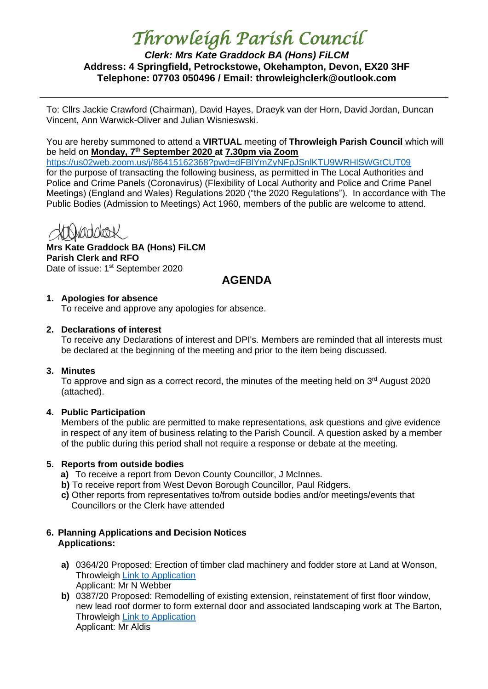# *Throwleigh Parish Council*

# *Clerk: Mrs Kate Graddock BA (Hons) FiLCM* **Address: 4 Springfield, Petrockstowe, Okehampton, Devon, EX20 3HF Telephone: 07703 050496 / Email: throwleighclerk@outlook.com**

To: Cllrs Jackie Crawford (Chairman), David Hayes, Draeyk van der Horn, David Jordan, Duncan Vincent, Ann Warwick-Oliver and Julian Wisnieswski.

You are hereby summoned to attend a **VIRTUAL** meeting of **Throwleigh Parish Council** which will be held on **Monday, 7th September 2020 at 7.30pm via Zoom**

<https://us02web.zoom.us/j/86415162368?pwd=dFBlYmZyNFpJSnlKTU9WRHlSWGtCUT09> for the purpose of transacting the following business, as permitted in The Local Authorities and Police and Crime Panels (Coronavirus) (Flexibility of Local Authority and Police and Crime Panel Meetings) (England and Wales) Regulations 2020 ("the 2020 Regulations"). In accordance with The Public Bodies (Admission to Meetings) Act 1960, members of the public are welcome to attend.

**Mrs Kate Graddock BA (Hons) FiLCM Parish Clerk and RFO** Date of issue: 1<sup>st</sup> September 2020

# **AGENDA**

# **1. Apologies for absence**

To receive and approve any apologies for absence.

# **2. Declarations of interest**

To receive any Declarations of interest and DPI's. Members are reminded that all interests must be declared at the beginning of the meeting and prior to the item being discussed.

## **3. Minutes**

To approve and sign as a correct record, the minutes of the meeting held on  $3<sup>rd</sup>$  August 2020 (attached).

# **4. Public Participation**

Members of the public are permitted to make representations, ask questions and give evidence in respect of any item of business relating to the Parish Council. A question asked by a member of the public during this period shall not require a response or debate at the meeting.

## **5. Reports from outside bodies**

- **a)** To receive a report from Devon County Councillor, J McInnes.
- **b)** To receive report from West Devon Borough Councillor, Paul Ridgers.
- **c)** Other reports from representatives to/from outside bodies and/or meetings/events that Councillors or the Clerk have attended

# **6. Planning Applications and Decision Notices Applications:**

- **a)** 0364/20 Proposed: Erection of timber clad machinery and fodder store at Land at Wonson, Throwleigh [Link to Application](https://www.dartmoor.gov.uk/living-and-working/planning/search-for-an-application/db-links/detailed-application-result?AppNo=0364%2F20) Applicant: Mr N Webber
- **b)** 0387/20 Proposed: Remodelling of existing extension, reinstatement of first floor window, new lead roof dormer to form external door and associated landscaping work at The Barton, Throwleigh [Link to Application](https://www.dartmoor.gov.uk/living-and-working/planning/search-for-an-application/db-links/detailed-application-result?AppNo=0387%2F20) Applicant: Mr Aldis